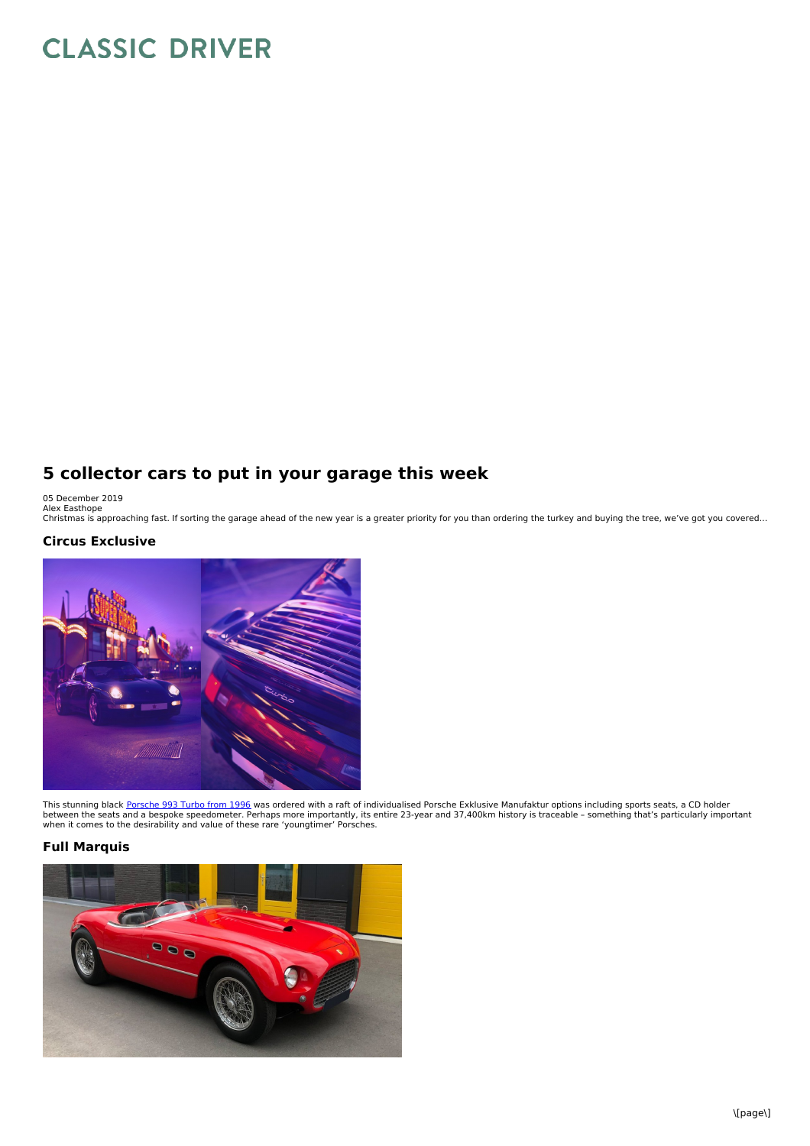# **CLASSIC DRIVER**

# **5 collector cars to put in your garage this week**

05 December 2019<br>Alex Easthope<br>Christmas is approaching fast. If sorting the garage ahead of the new year is a greater priority for you than ordering the turkey and buying the tree, we've got you covered…

## **Circus Exclusive**



This stunning black <u>[Porsche](https://www.classicdriver.com/en/car/porsche/911-993-turbo/1996/714898) 993 Turbo from 1996</u> was ordered with a raft of individualised Porsche Exklusive Manufaktur options including sports seats, a CD holder<br>between the seats and a bespoke speedometer. Perhaps more

#### **Full Marquis**

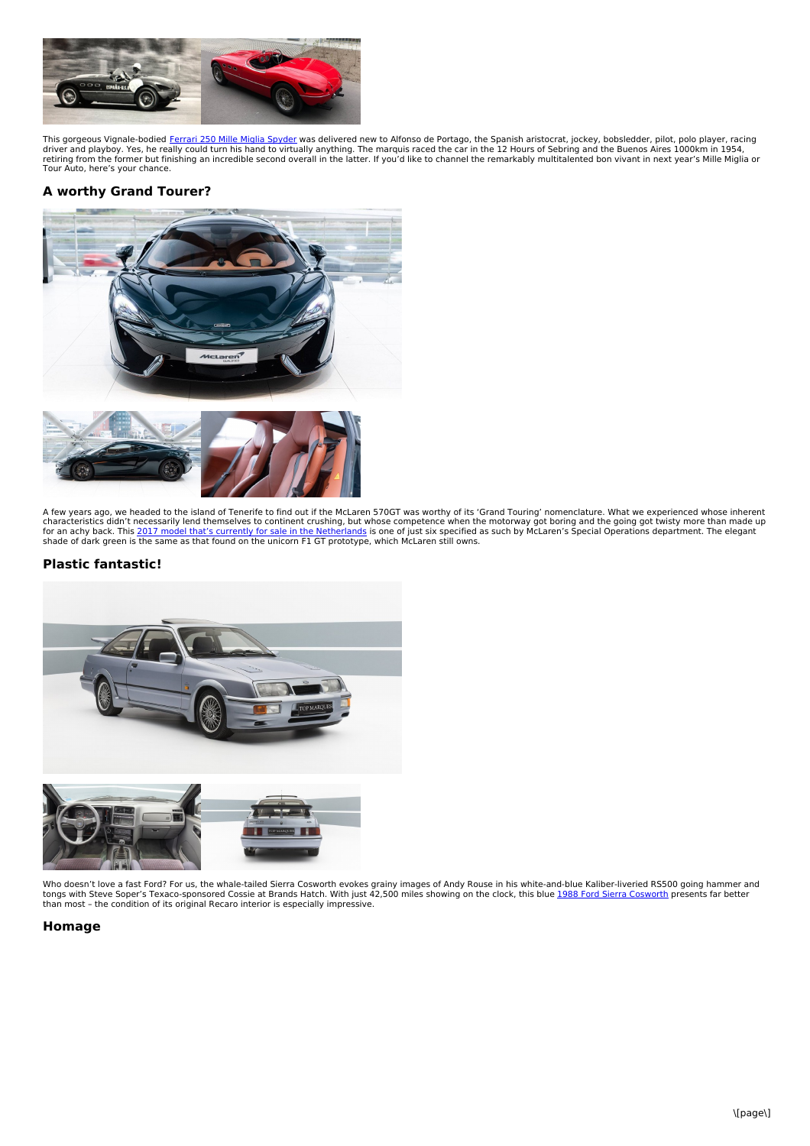

This gorgeous Vignale-bodied <u>Ferrari 250 Mille Miglia [Spyder](https://www.classicdriver.com/en/car/ferrari/250/1953/722112)</u> was delivered new to Alfonso de Portago, the Spanish aristocrat, jockey, bobsledder, pilot, polo player, racing<br>driver and playboy. Yes, he really could turn h retiring from the former but finishing an incredible second overall in the latter. If you'd like to channel the remarkably multitalented bon vivant in next year's Mille Miglia or<br>Tour Auto, here's your chance.

## **A worthy Grand Tourer?**



A few years ago, we headed to the island of Tenerife to find out if the McLaren 570GT was worthy of its 'Grand Touring' nomenclature. What we experienced whose inherent<br>characteristics didn't necessarily lend themselves to shade of dark green is the same as that found on the unicorn F1 GT prototype, which McLaren still owns.

#### **Plastic fantastic!**



Who doesn't love a fast Ford? For us, the whale-tailed Sierra [Cosworth](https://www.classicdriver.com/de/car/ford/sierra/1988/721662) evokes grainy images of Andy Rouse in his white-and-blue Kaliber-liveried RS500 going hammer and<br>tongs with Steve Soper's Texaco-sponsored Cossie at Br

#### **Homage**